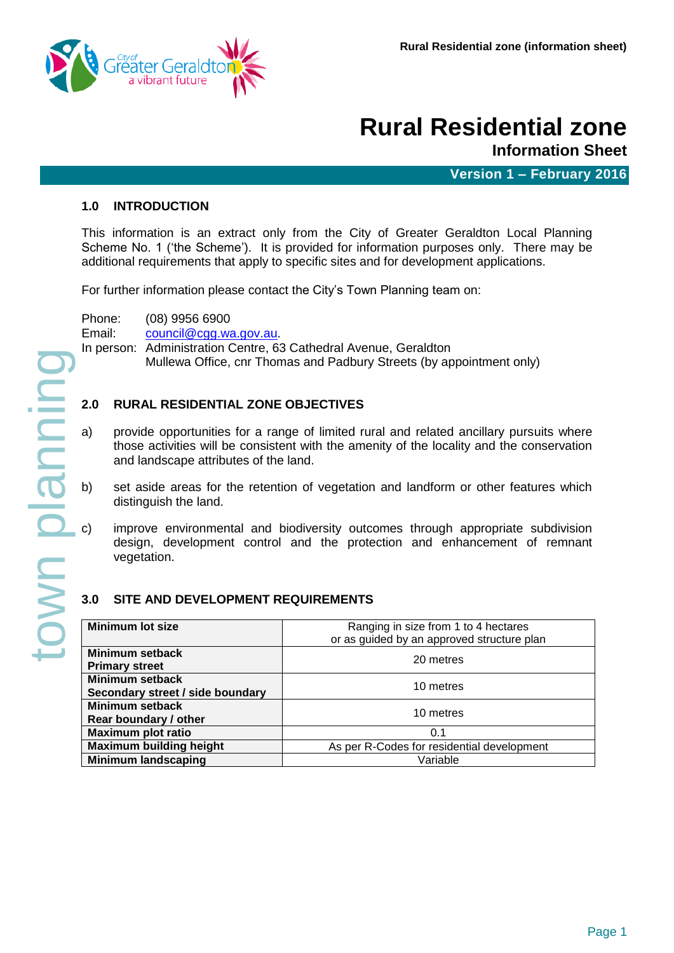

# **Rural Residential zone**

**Information Sheet**

**Version 1 – February 2016**

#### **1.0 INTRODUCTION**

This information is an extract only from the City of Greater Geraldton Local Planning Scheme No. 1 ('the Scheme'). It is provided for information purposes only. There may be additional requirements that apply to specific sites and for development applications.

For further information please contact the City's Town Planning team on:

Phone: (08) 9956 6900 Email: [council@cgg.wa.gov.au.](mailto:council@cgg.wa.gov.au)

In person: Administration Centre, 63 Cathedral Avenue, Geraldton

Mullewa Office, cnr Thomas and Padbury Streets (by appointment only)

#### **2.0 RURAL RESIDENTIAL ZONE OBJECTIVES**

- a) provide opportunities for a range of limited rural and related ancillary pursuits where those activities will be consistent with the amenity of the locality and the conservation and landscape attributes of the land.
- set aside areas for the retention of vegetation and landform or other features which distinguish the land.
- improve environmental and biodiversity outcomes through appropriate subdivision design, development control and the protection and enhancement of remnant vegetation.

#### **3.0 SITE AND DEVELOPMENT REQUIREMENTS**

| <b>Minimum lot size</b>          | Ranging in size from 1 to 4 hectares<br>or as guided by an approved structure plan |  |  |  |  |  |
|----------------------------------|------------------------------------------------------------------------------------|--|--|--|--|--|
|                                  |                                                                                    |  |  |  |  |  |
| Minimum setback                  |                                                                                    |  |  |  |  |  |
| <b>Primary street</b>            | 20 metres                                                                          |  |  |  |  |  |
| <b>Minimum setback</b>           | 10 metres                                                                          |  |  |  |  |  |
| Secondary street / side boundary |                                                                                    |  |  |  |  |  |
| <b>Minimum setback</b>           |                                                                                    |  |  |  |  |  |
| Rear boundary / other            | 10 metres                                                                          |  |  |  |  |  |
| <b>Maximum plot ratio</b>        | 0.1                                                                                |  |  |  |  |  |
| <b>Maximum building height</b>   | As per R-Codes for residential development                                         |  |  |  |  |  |
| <b>Minimum landscaping</b>       | Variable                                                                           |  |  |  |  |  |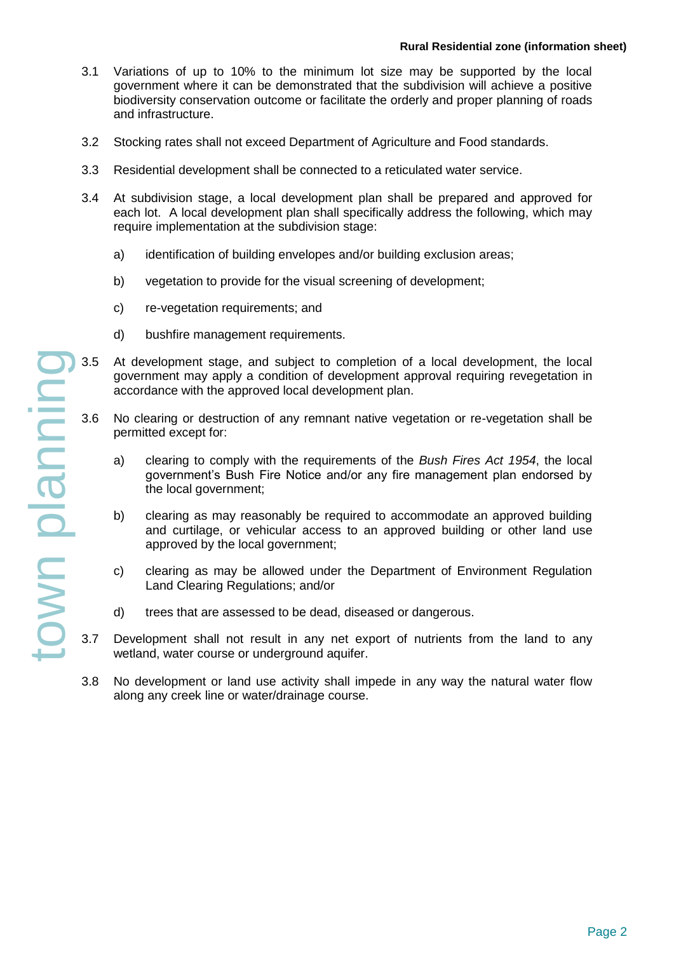- 3.1 Variations of up to 10% to the minimum lot size may be supported by the local government where it can be demonstrated that the subdivision will achieve a positive biodiversity conservation outcome or facilitate the orderly and proper planning of roads and infrastructure.
- 3.2 Stocking rates shall not exceed Department of Agriculture and Food standards.
- 3.3 Residential development shall be connected to a reticulated water service.
- 3.4 At subdivision stage, a local development plan shall be prepared and approved for each lot. A local development plan shall specifically address the following, which may require implementation at the subdivision stage:
	- a) identification of building envelopes and/or building exclusion areas;
	- b) vegetation to provide for the visual screening of development;
	- c) re-vegetation requirements; and
	- d) bushfire management requirements.
- 3.5 At development stage, and subject to completion of a local development, the local government may apply a condition of development approval requiring revegetation in accordance with the approved local development plan.
	- 3.6 No clearing or destruction of any remnant native vegetation or re-vegetation shall be permitted except for:
		- a) clearing to comply with the requirements of the *Bush Fires Act 1954*, the local government's Bush Fire Notice and/or any fire management plan endorsed by the local government;
		- b) clearing as may reasonably be required to accommodate an approved building and curtilage, or vehicular access to an approved building or other land use approved by the local government;
		- c) clearing as may be allowed under the Department of Environment Regulation Land Clearing Regulations; and/or
		- d) trees that are assessed to be dead, diseased or dangerous.
	- Development shall not result in any net export of nutrients from the land to any wetland, water course or underground aquifer.
	- 3.8 No development or land use activity shall impede in any way the natural water flow along any creek line or water/drainage course.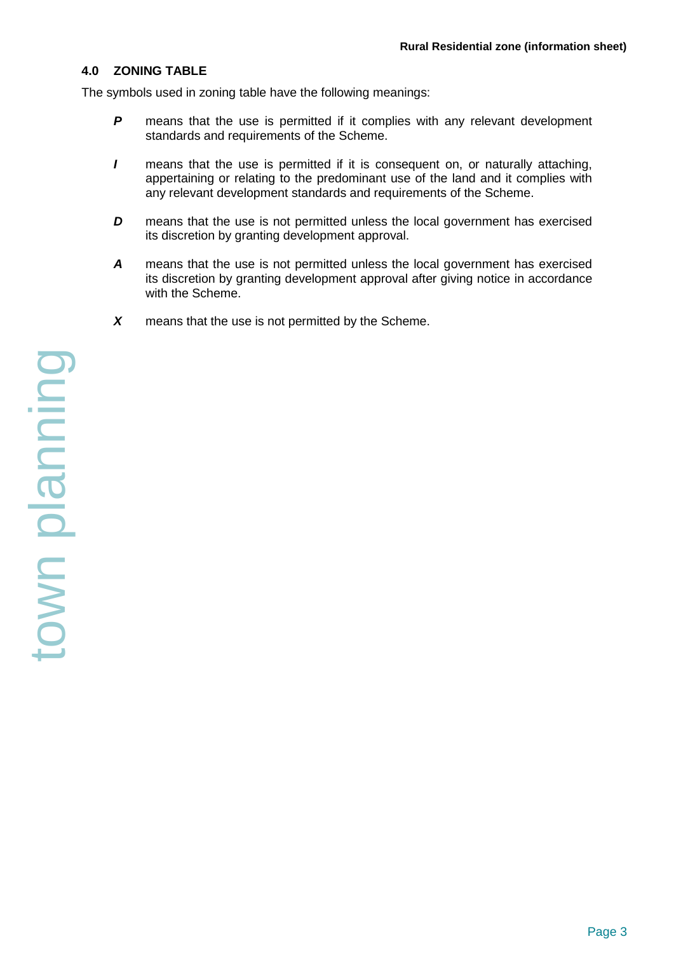#### **4.0 ZONING TABLE**

The symbols used in zoning table have the following meanings:

- **P** means that the use is permitted if it complies with any relevant development standards and requirements of the Scheme.
- *I* means that the use is permitted if it is consequent on, or naturally attaching, appertaining or relating to the predominant use of the land and it complies with any relevant development standards and requirements of the Scheme.
- *D* means that the use is not permitted unless the local government has exercised its discretion by granting development approval.
- *A* means that the use is not permitted unless the local government has exercised its discretion by granting development approval after giving notice in accordance with the Scheme.
- *X* means that the use is not permitted by the Scheme.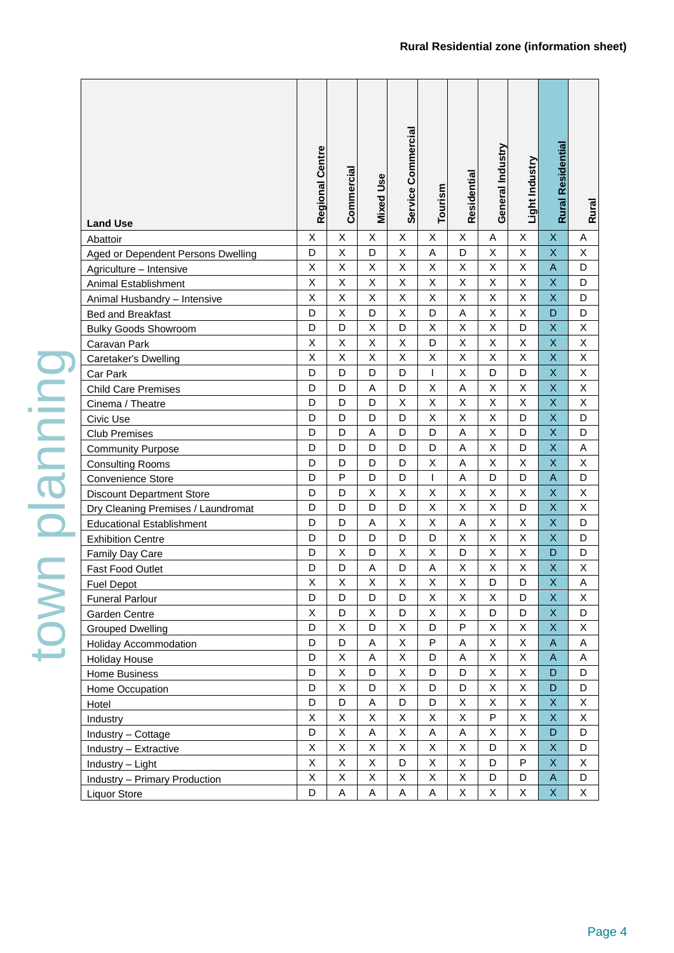| <b>Land Use</b>                    | Regional Centre | Commercial              | <b>Mixed Use</b> | Service Commercial | Tourism | Residential    | General Industry        | Light Industry          | <b>Rural Residential</b>  | Rural   |
|------------------------------------|-----------------|-------------------------|------------------|--------------------|---------|----------------|-------------------------|-------------------------|---------------------------|---------|
| Abattoir                           | Χ               | X                       | X                | Χ                  | X       | X              | Α                       | Χ                       | $\boldsymbol{\mathsf{X}}$ | Α       |
| Aged or Dependent Persons Dwelling | D               | X                       | D                | X                  | Α       | D              | X                       | X                       | $\mathsf X$               | Χ       |
| Agriculture - Intensive            | X               | $\overline{\mathsf{x}}$ | X                | X                  | X       | X              | $\overline{\mathsf{x}}$ | X                       | $\mathsf{A}$              | D       |
| Animal Establishment               | X               | X                       | X                | X                  | X       | X              | X                       | X                       | $\mathsf X$               | D       |
| Animal Husbandry - Intensive       | Χ               | Χ                       | X                | Χ                  | Χ       | X              | Χ                       | Χ                       | $\mathsf X$               | D       |
| Bed and Breakfast                  | D               | X                       | D                | X                  | D       | $\mathsf A$    | X                       | X                       | D                         | D       |
| <b>Bulky Goods Showroom</b>        | D               | D                       | $\sf X$          | D                  | X       | $\mathsf X$    | X                       | D                       | $\mathsf X$               | Χ       |
| Caravan Park                       | X               | $\sf X$                 | $\mathsf X$      | X                  | D       | X              | X                       | X                       | $\mathsf X$               | $\sf X$ |
| Caretaker's Dwelling               | X               | X                       | Χ                | Χ                  | X       | X              | X                       | X                       | $\mathsf X$               | Χ       |
| Car Park                           | D               | D                       | D                | D                  | T       | $\pmb{\times}$ | D                       | D                       | $\mathsf X$               | X       |
| <b>Child Care Premises</b>         | D               | D                       | A                | D                  | X       | A              | X                       | X                       | $\mathsf X$               | Χ       |
| Cinema / Theatre                   | D               | D                       | D                | X                  | X       | $\mathsf X$    | X                       | X                       | $\mathsf X$               | X       |
| Civic Use                          | D               | D                       | D                | D                  | Χ       | X              | X                       | D                       | $\mathsf X$               | D       |
| <b>Club Premises</b>               | D               | D                       | Α                | D                  | D       | A              | Χ                       | D                       | $\mathsf X$               | D       |
| <b>Community Purpose</b>           | D               | D                       | D                | D                  | D       | $\mathsf A$    | X                       | D                       | $\mathsf X$               | A       |
| <b>Consulting Rooms</b>            | D               | D                       | D                | D                  | X       | A              | X                       | X                       | $\mathsf X$               | X       |
| Convenience Store                  | D               | P                       | D                | D                  | T       | A              | D                       | D                       | $\mathsf A$               | D       |
| <b>Discount Department Store</b>   | D               | D                       | X                | Χ                  | X       | X              | Χ                       | X                       | $\mathsf X$               | X       |
| Dry Cleaning Premises / Laundromat | D               | D                       | D                | D                  | X       | X              | Χ                       | D                       | $\mathsf X$               | Χ       |
| <b>Educational Establishment</b>   | D               | D                       | A                | Χ                  | Χ       | Α              | Χ                       | Χ                       | $\boldsymbol{\mathsf{X}}$ | D       |
| <b>Exhibition Centre</b>           | D               | D                       | D                | D                  | D       | X              | X                       | X                       | $\mathsf X$               | D       |
| Family Day Care                    | D               | X                       | D                | X                  | X       | D              | $\overline{X}$          | $\overline{\mathsf{x}}$ | D                         | D       |
| Fast Food Outlet                   | D               | D                       | Α                | D                  | Α       | X              | Χ                       | X                       | X                         | Χ       |
| <b>Fuel Depot</b>                  | X               | X                       | Χ                | X                  | X       | X              | D                       | D                       | X                         | A       |
| <b>Funeral Parlour</b>             | D               | D                       | D                | D                  | X       | $\mathsf X$    | X                       | D                       | $\mathsf X$               | X       |
| Garden Centre                      | Χ               | D                       | X                | D                  | Χ       | $\mathsf X$    | D                       | D                       | $\mathsf X$               | D       |
| <b>Grouped Dwelling</b>            | D               | $\mathsf X$             | D                | Χ                  | D       | P              | Χ                       | X                       | $\boldsymbol{\mathsf{X}}$ | X       |
| <b>Holiday Accommodation</b>       | D               | D                       | Α                | Χ                  | P       | A              | $\sf X$                 | X                       | $\mathsf{A}$              | Α       |
| Holiday House                      | D               | $\mathsf X$             | A                | Χ                  | D       | A              | Χ                       | X                       | $\mathsf{A}$              | Α       |
| Home Business                      | D               | $\mathsf X$             | D                | X                  | D       | D              | X                       | X                       | D                         | D       |
| Home Occupation                    | D               | $\mathsf X$             | D                | X                  | D       | D              | $\mathsf X$             | X                       | D                         | D       |
| Hotel                              | D               | D                       | Α                | D                  | D       | $\mathsf X$    | Χ                       | X                       | X                         | X       |
| Industry                           | Χ               | X                       | X                | Χ                  | Χ       | $\mathsf X$    | P                       | Χ                       | $\pmb{\mathsf{X}}$        | X       |
| Industry - Cottage                 | D               | Χ                       | A                | Χ                  | А       | Α              | Χ                       | Χ                       | D                         | D       |
| Industry - Extractive              | X               | X                       | X                | X                  | X       | $\mathsf X$    | D                       | X                       | $\mathsf X$               | D       |
| Industry - Light                   | X               | $\mathsf X$             | X                | D                  | X       | $\mathsf X$    | D                       | P                       | $\mathsf X$               | X       |
| Industry - Primary Production      | X               | $\mathsf X$             | X                | Χ                  | X       | X              | D                       | D                       | $\mathsf{A}$              | D       |
| Liquor Store                       | D               | Α                       | Α                | A                  | Α       | X              | X                       | Χ                       | $\mathsf{X}$              | X       |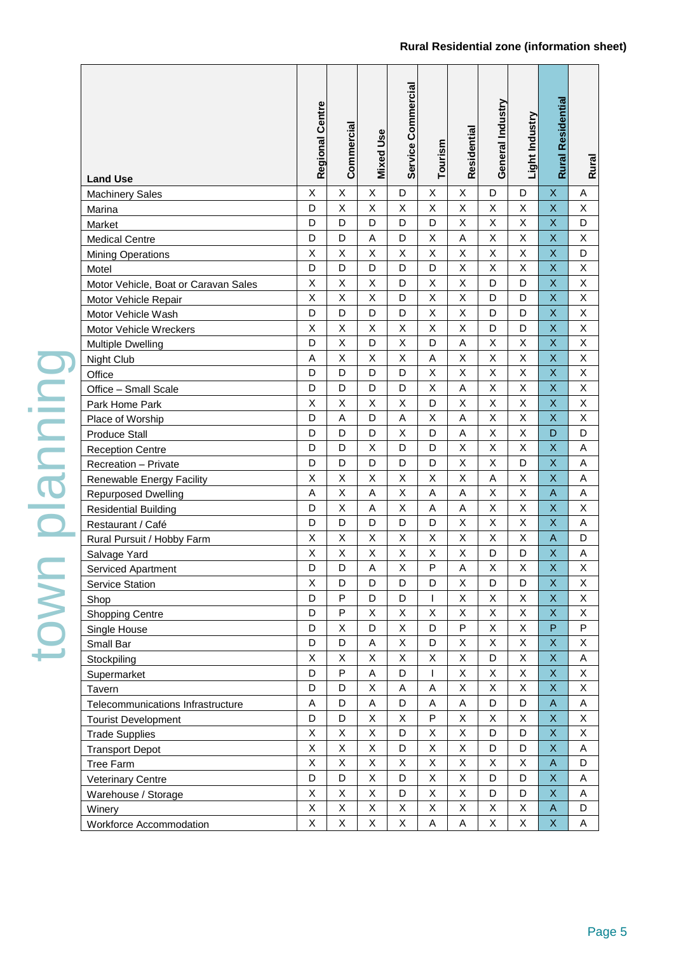| <b>Land Use</b>                      | Regional Centre | Commercial   | <b>Mixed Use</b> | Service Commercial | Tourism                 | Residential | General Industry        | Light Industry | Rural Residential | Rural       |
|--------------------------------------|-----------------|--------------|------------------|--------------------|-------------------------|-------------|-------------------------|----------------|-------------------|-------------|
| <b>Machinery Sales</b>               | Χ               | X            | X                | D                  | $\mathsf X$             | Χ           | D                       | D              | X                 | Α           |
| Marina                               | D               | $\sf X$      | X                | Χ                  | $\sf X$                 | X           | X                       | $\mathsf X$    | X                 | X           |
| Market                               | D               | D            | D                | D                  | D                       | X           | X                       | $\sf X$        | X                 | D           |
| <b>Medical Centre</b>                | D               | D            | A                | D                  | Χ                       | A           | X                       | $\sf X$        | X                 | X           |
| <b>Mining Operations</b>             | X               | $\sf X$      | X                | X                  | $\mathsf{X}$            | X           | $\overline{\mathsf{x}}$ | $\overline{X}$ | X                 | D           |
| Motel                                | D               | D            | D                | D                  | D                       | X           | X                       | $\sf X$        | X                 | X           |
| Motor Vehicle, Boat or Caravan Sales | X               | $\sf X$      | Χ                | D                  | $\sf X$                 | X           | D                       | D              | X                 | $\sf X$     |
| Motor Vehicle Repair                 | X               | $\mathsf X$  | X                | D                  | $\sf X$                 | X           | D                       | D              | X                 | Χ           |
| Motor Vehicle Wash                   | D               | D            | D                | D                  | $\sf X$                 | X           | D                       | D              | X                 | Χ           |
| Motor Vehicle Wreckers               | X               | $\sf X$      | X                | X                  | $\sf X$                 | X           | D                       | D              | X                 | $\sf X$     |
| <b>Multiple Dwelling</b>             | D               | $\mathsf{X}$ | D                | X                  | D                       | A           | X                       | $\sf X$        | X                 | $\sf X$     |
| Night Club                           | Α               | X            | X                | Χ                  | A                       | X           | X                       | $\mathsf X$    | X                 | X           |
| Office                               | D               | D            | D                | D                  | Χ                       | X           | X                       | $\sf X$        | X                 | Χ           |
| Office - Small Scale                 | D               | D            | D                | D                  | $\sf X$                 | A           | X                       | $\mathsf{X}$   | X                 | $\sf X$     |
| Park Home Park                       | X               | Χ            | Χ                | X                  | D                       | X           | X                       | $\sf X$        | X                 | X           |
| Place of Worship                     | D               | A            | D                | A                  | $\sf X$                 | A           | X                       | $\sf X$        | X                 | $\sf X$     |
| <b>Produce Stall</b>                 | D               | D            | D                | X                  | D                       | A           | X                       | $\sf X$        | D                 | D           |
| <b>Reception Centre</b>              | D               | D            | Χ                | D                  | D                       | Χ           | X                       | $\sf X$        | X                 | A           |
| Recreation - Private                 | D               | D            | D                | D                  | D                       | X           | X                       | D              | X                 | A           |
| Renewable Energy Facility            | X               | $\sf X$      | Χ                | X                  | $\sf X$                 | X           | A                       | $\sf X$        | X                 | A           |
| <b>Repurposed Dwelling</b>           | A               | $\sf X$      | Α                | Χ                  | A                       | A           | X                       | $\mathsf X$    | A                 | A           |
| <b>Residential Building</b>          | D               | $\sf X$      | A                | Χ                  | $\overline{\mathsf{A}}$ | A           | X                       | $\mathsf X$    | X                 | $\mathsf X$ |
| Restaurant / Café                    | D               | D            | D                | D                  | D                       | X           | X                       | $\sf X$        | X                 | A           |
| Rural Pursuit / Hobby Farm           | X               | Χ            | Χ                | X                  | X                       | X           | X                       | Χ              | A                 | D           |
| Salvage Yard                         | X               | $\sf X$      | Χ                | X                  | $\sf X$                 | Χ           | D                       | D              | X                 | A           |
| Serviced Apartment                   | D               | D            | A                | X                  | P                       | A           | X                       | X              | X                 | X           |
| <b>Service Station</b>               | X               | D            | D                | D                  | D                       | X           | D                       | D              | X                 | X           |
| Shop                                 | D               | $\mathsf{P}$ | D                | D                  |                         | X           | Χ                       | X              | X                 | X           |
| <b>Shopping Centre</b>               | D               | $\mathsf{P}$ | X                | X                  | $\sf X$                 | $\mathsf X$ | $\mathsf X$             | $\mathsf X$    | X                 | Χ           |
| Single House                         | D               | $\mathsf X$  | D                | Χ                  | D                       | P           | X                       | $\sf X$        | P                 | P           |
| Small Bar                            | D               | D            | Α                | Χ                  | D                       | Χ           | Χ                       | $\mathsf X$    | X                 | Χ           |
| Stockpiling                          | X               | Χ            | Χ                | Χ                  | $\mathsf X$             | X           | D                       | $\mathsf X$    | X                 | Α           |
| Supermarket                          | D               | $\mathsf{P}$ | A                | D                  | $\overline{1}$          | Χ           | Χ                       | $\mathsf X$    | X                 | X           |
| Tavern                               | D               | D            | X                | A                  | $\mathsf A$             | X           | $\mathsf X$             | $\mathsf X$    | X                 | Χ           |
| Telecommunications Infrastructure    | A               | D            | Α                | D                  | A                       | A           | D                       | D              | $\mathsf A$       | Α           |
| <b>Tourist Development</b>           | D               | D            | X                | Χ                  | ${\sf P}$               | X           | X                       | X              | X                 | X           |
| <b>Trade Supplies</b>                | X               | $\mathsf X$  | Χ                | D                  | $\mathsf X$             | X           | D                       | D              | X                 | X           |
| <b>Transport Depot</b>               | X               | $\mathsf X$  | Χ                | D                  | $\mathsf X$             | X           | D                       | D              | X                 | $\mathsf A$ |
| <b>Tree Farm</b>                     | X               | $\mathsf X$  | Χ                | Χ                  | $\mathsf X$             | X           | X                       | $\mathsf X$    | $\mathsf A$       | D           |
| <b>Veterinary Centre</b>             | D               | D            | Χ                | D                  | $\sf X$                 | X           | D                       | D              | X                 | Α           |
| Warehouse / Storage                  | X               | $\mathsf X$  | X                | D                  | $\mathsf X$             | X           | D                       | D              | X                 | A           |
| Winery                               | X               | $\mathsf X$  | Χ                | Χ                  | $\mathsf X$             | X           | Χ                       | $\mathsf X$    | $\mathsf A$       | D           |
| Workforce Accommodation              | X               | X            | X                | Χ                  | A                       | A           | X                       | X              | X                 | Α           |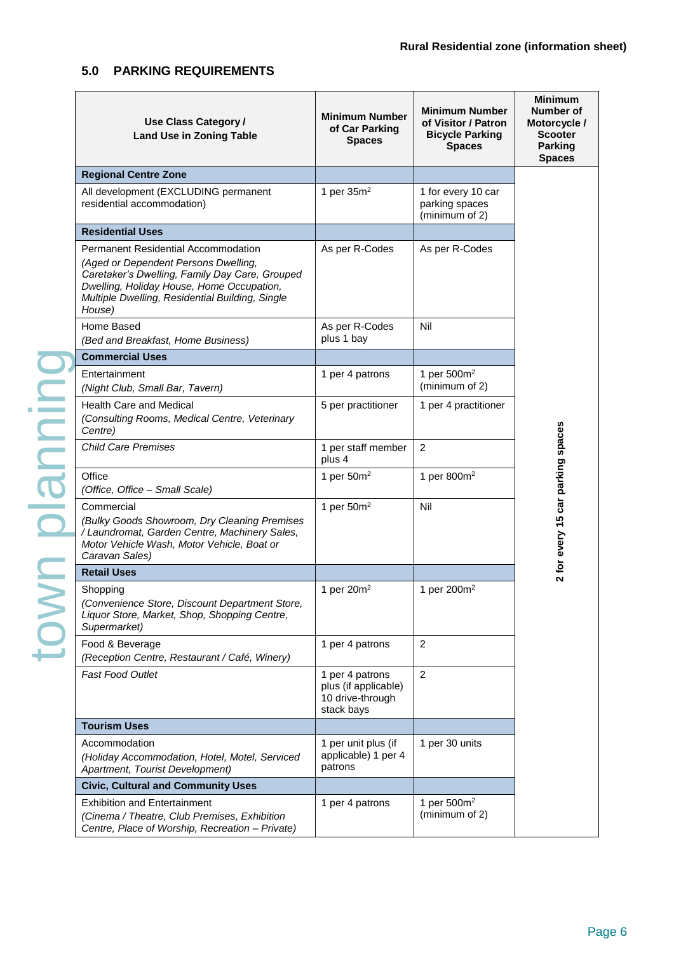## **5.0 PARKING REQUIREMENTS**

| Use Class Category /<br><b>Land Use in Zoning Table</b>                                                                                                                                                                                 | <b>Minimum Number</b><br>of Car Parking<br><b>Spaces</b>                  | <b>Minimum Number</b><br>of Visitor / Patron<br><b>Bicycle Parking</b><br><b>Spaces</b> | <b>Minimum</b><br><b>Number of</b><br>Motorcycle /<br><b>Scooter</b><br><b>Parking</b><br><b>Spaces</b> |
|-----------------------------------------------------------------------------------------------------------------------------------------------------------------------------------------------------------------------------------------|---------------------------------------------------------------------------|-----------------------------------------------------------------------------------------|---------------------------------------------------------------------------------------------------------|
| <b>Regional Centre Zone</b>                                                                                                                                                                                                             |                                                                           |                                                                                         |                                                                                                         |
| All development (EXCLUDING permanent<br>residential accommodation)                                                                                                                                                                      | 1 per $35m2$                                                              | 1 for every 10 car<br>parking spaces<br>(minimum of 2)                                  |                                                                                                         |
| <b>Residential Uses</b>                                                                                                                                                                                                                 |                                                                           |                                                                                         |                                                                                                         |
| Permanent Residential Accommodation<br>(Aged or Dependent Persons Dwelling,<br>Caretaker's Dwelling, Family Day Care, Grouped<br>Dwelling, Holiday House, Home Occupation,<br>Multiple Dwelling, Residential Building, Single<br>House) | As per R-Codes                                                            | As per R-Codes                                                                          |                                                                                                         |
| Home Based<br>(Bed and Breakfast, Home Business)                                                                                                                                                                                        | As per R-Codes<br>plus 1 bay                                              | Nil                                                                                     |                                                                                                         |
| <b>Commercial Uses</b>                                                                                                                                                                                                                  |                                                                           |                                                                                         |                                                                                                         |
| Entertainment<br>(Night Club, Small Bar, Tavern)                                                                                                                                                                                        | 1 per 4 patrons                                                           | 1 per 500m <sup>2</sup><br>(minimum of 2)                                               |                                                                                                         |
| <b>Health Care and Medical</b><br>(Consulting Rooms, Medical Centre, Veterinary<br>Centre)                                                                                                                                              | 5 per practitioner                                                        | 1 per 4 practitioner                                                                    |                                                                                                         |
| <b>Child Care Premises</b>                                                                                                                                                                                                              | 1 per staff member<br>plus 4                                              | 2                                                                                       |                                                                                                         |
| Office<br>(Office, Office - Small Scale)                                                                                                                                                                                                | 1 per $50m^2$                                                             | 1 per $800m^2$                                                                          |                                                                                                         |
| Commercial<br>(Bulky Goods Showroom, Dry Cleaning Premises<br>/ Laundromat, Garden Centre, Machinery Sales,<br>Motor Vehicle Wash, Motor Vehicle, Boat or<br>Caravan Sales)                                                             | 1 per $50m^2$                                                             | Nil                                                                                     | 2 for every 15 car parking spaces                                                                       |
| <b>Retail Uses</b>                                                                                                                                                                                                                      |                                                                           |                                                                                         |                                                                                                         |
| Shopping<br>(Convenience Store, Discount Department Store,<br>Liquor Store, Market, Shop, Shopping Centre,<br>Supermarket)                                                                                                              | 1 per $20m^2$                                                             | 1 per 200m <sup>2</sup>                                                                 |                                                                                                         |
| Food & Beverage<br>(Reception Centre, Restaurant / Café, Winery)                                                                                                                                                                        | 1 per 4 patrons                                                           | $\overline{2}$                                                                          |                                                                                                         |
| <b>Fast Food Outlet</b>                                                                                                                                                                                                                 | 1 per 4 patrons<br>plus (if applicable)<br>10 drive-through<br>stack bays | $\overline{2}$                                                                          |                                                                                                         |
| <b>Tourism Uses</b>                                                                                                                                                                                                                     |                                                                           |                                                                                         |                                                                                                         |
| Accommodation<br>(Holiday Accommodation, Hotel, Motel, Serviced<br>Apartment, Tourist Development)                                                                                                                                      | 1 per unit plus (if<br>applicable) 1 per 4<br>patrons                     | 1 per 30 units                                                                          |                                                                                                         |
| <b>Civic, Cultural and Community Uses</b>                                                                                                                                                                                               |                                                                           |                                                                                         |                                                                                                         |
| <b>Exhibition and Entertainment</b><br>(Cinema / Theatre, Club Premises, Exhibition<br>Centre, Place of Worship, Recreation - Private)                                                                                                  | 1 per 4 patrons                                                           | 1 per 500m <sup>2</sup><br>(minimum of 2)                                               |                                                                                                         |

Page 6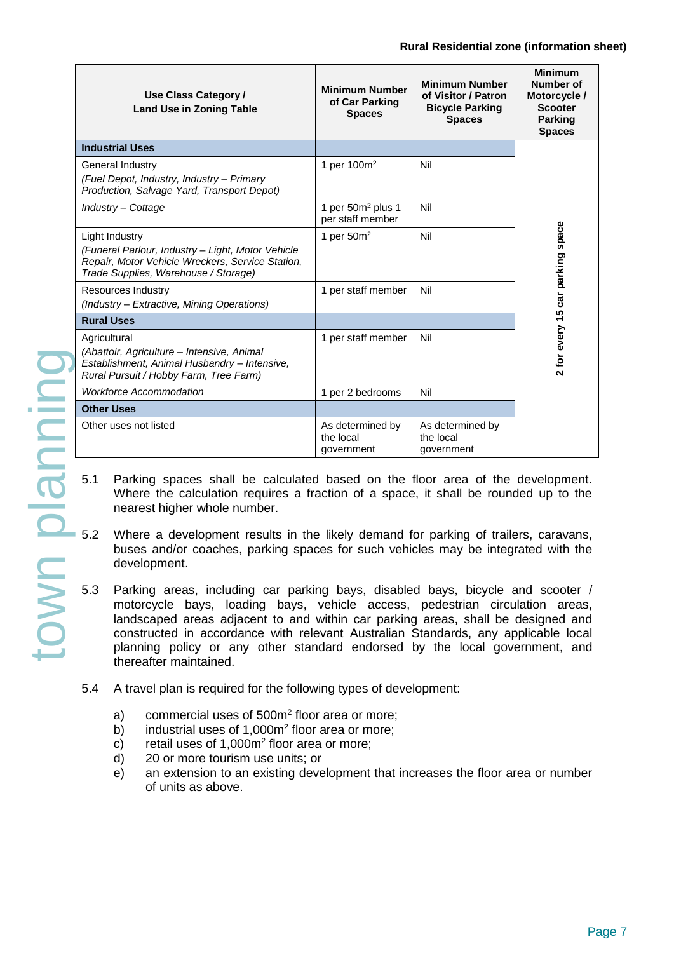| Use Class Category /<br><b>Land Use in Zoning Table</b>                                                                                                         | <b>Minimum Number</b><br>of Car Parking<br><b>Spaces</b> | <b>Minimum</b><br>Number of<br>Motorcycle /<br><b>Scooter</b><br><b>Parking</b><br><b>Spaces</b> |                                  |
|-----------------------------------------------------------------------------------------------------------------------------------------------------------------|----------------------------------------------------------|--------------------------------------------------------------------------------------------------|----------------------------------|
| <b>Industrial Uses</b>                                                                                                                                          |                                                          |                                                                                                  |                                  |
| General Industry<br>(Fuel Depot, Industry, Industry – Primary<br>Production, Salvage Yard, Transport Depot)                                                     | 1 per $100m^2$                                           | Nil                                                                                              |                                  |
| Industry - Cottage                                                                                                                                              | 1 per $50m²$ plus 1<br>per staff member                  | Nil                                                                                              |                                  |
| Light Industry<br>(Funeral Parlour, Industry - Light, Motor Vehicle<br>Repair, Motor Vehicle Wreckers, Service Station,<br>Trade Supplies, Warehouse / Storage) | 1 per $50m^2$                                            | Nil                                                                                              | 2 for every 15 car parking space |
| Resources Industry<br>(Industry - Extractive, Mining Operations)                                                                                                | 1 per staff member                                       | Nil                                                                                              |                                  |
| <b>Rural Uses</b>                                                                                                                                               |                                                          |                                                                                                  |                                  |
| Agricultural<br>(Abattoir, Agriculture - Intensive, Animal<br>Establishment, Animal Husbandry - Intensive,<br>Rural Pursuit / Hobby Farm, Tree Farm)            | 1 per staff member                                       | Nil                                                                                              |                                  |
| <b>Workforce Accommodation</b>                                                                                                                                  | 1 per 2 bedrooms                                         | Nil                                                                                              |                                  |
| <b>Other Uses</b>                                                                                                                                               |                                                          |                                                                                                  |                                  |
| Other uses not listed                                                                                                                                           | As determined by<br>the local<br>government              | As determined by<br>the local<br>government                                                      |                                  |

- 5.1 Parking spaces shall be calculated based on the floor area of the development. Where the calculation requires a fraction of a space, it shall be rounded up to the nearest higher whole number.
- Where a development results in the likely demand for parking of trailers, caravans, buses and/or coaches, parking spaces for such vehicles may be integrated with the development.
- Parking areas, including car parking bays, disabled bays, bicycle and scooter / motorcycle bays, loading bays, vehicle access, pedestrian circulation areas, landscaped areas adjacent to and within car parking areas, shall be designed and constructed in accordance with relevant Australian Standards, any applicable local planning policy or any other standard endorsed by the local government, and thereafter maintained.
- 5.4 A travel plan is required for the following types of development:
	- a) commercial uses of 500m<sup>2</sup> floor area or more;
	- b) industrial uses of  $1,000m^2$  floor area or more;
	- c) retail uses of  $1,000m^2$  floor area or more;
	- d) 20 or more tourism use units; or
	- e) an extension to an existing development that increases the floor area or number of units as above.